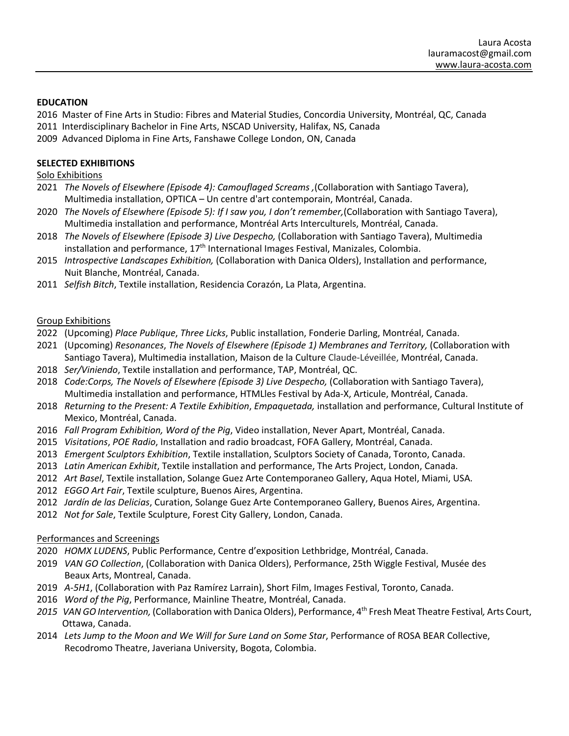### **EDUCATION**

2016 Master of Fine Arts in Studio: Fibres and Material Studies, Concordia University, Montréal, QC, Canada

- 2011 Interdisciplinary Bachelor in Fine Arts, NSCAD University, Halifax, NS, Canada
- 2009 Advanced Diploma in Fine Arts, Fanshawe College London, ON, Canada

# **SELECTED EXHIBITIONS**

# Solo Exhibitions

- 2021 *The Novels of Elsewhere (Episode 4): Camouflaged Screams ,*(Collaboration with Santiago Tavera), Multimedia installation, OPTICA – Un centre d'art contemporain, Montréal, Canada.
- 2020 *The Novels of Elsewhere (Episode 5): If I saw you, I don't remember,*(Collaboration with Santiago Tavera), Multimedia installation and performance, Montréal Arts Interculturels, Montréal, Canada.
- 2018 *The Novels of Elsewhere (Episode 3) Live Despecho,* (Collaboration with Santiago Tavera), Multimedia installation and performance, 17<sup>th</sup> International Images Festival, Manizales, Colombia.
- 2015 *Introspective Landscapes Exhibition,* (Collaboration with Danica Olders), Installation and performance, Nuit Blanche, Montréal, Canada.
- 2011 *Selfish Bitch*, Textile installation, Residencia Corazón, La Plata, Argentina.

## Group Exhibitions

- 2022 (Upcoming) *Place Publique*, *Three Licks*, Public installation, Fonderie Darling, Montréal, Canada.
- 2021 (Upcoming) *Resonances*, *The Novels of Elsewhere (Episode 1) Membranes and Territory,* (Collaboration with Santiago Tavera), Multimedia installation, Maison de la Culture Claude-Léveillée, Montréal, Canada.
- 2018 *Ser/Viniendo*, Textile installation and performance, TAP, Montréal, QC.
- 2018 *Code:Corps, The Novels of Elsewhere (Episode 3) Live Despecho,* (Collaboration with Santiago Tavera), Multimedia installation and performance, HTMLles Festival by Ada-X, Articule, Montréal, Canada.
- 2018 *Returning to the Present: A Textile Exhibition*, *Empaquetada,* installation and performance, Cultural Institute of Mexico, Montréal, Canada.
- 2016 *Fall Program Exhibition, Word of the Pig*, Video installation, Never Apart, Montréal, Canada.
- 2015 *Visitations*, *POE Radio*, Installation and radio broadcast, FOFA Gallery, Montréal, Canada.
- 2013 *Emergent Sculptors Exhibition*, Textile installation, Sculptors Society of Canada, Toronto, Canada.
- 2013 *Latin American Exhibit*, Textile installation and performance, The Arts Project, London, Canada.
- 2012 *Art Basel*, Textile installation, Solange Guez Arte Contemporaneo Gallery, Aqua Hotel, Miami, USA.
- 2012 *EGGO Art Fair*, Textile sculpture, Buenos Aires, Argentina.
- 2012 *Jardín de las Delicias*, Curation, Solange Guez Arte Contemporaneo Gallery, Buenos Aires, Argentina.
- 2012 *Not for Sale*, Textile Sculpture, Forest City Gallery, London, Canada.

## Performances and Screenings

- 2020 *HOMX LUDENS*, Public Performance, Centre d'exposition Lethbridge, Montréal, Canada.
- 2019 *VAN GO Collection*, (Collaboration with Danica Olders), Performance, 25th Wiggle Festival, Musée des Beaux Arts, Montreal, Canada.
- 2019 *A-5H1*, (Collaboration with Paz Ramírez Larrain), Short Film, Images Festival, Toronto, Canada.
- 2016 *Word of the Pig*, Performance, Mainline Theatre, Montréal, Canada.
- *2015 VAN GO Intervention,* (Collaboration with Danica Olders), Performance, 4th Fresh Meat Theatre Festival*,* Arts Court, Ottawa, Canada.
- 2014 *Lets Jump to the Moon and We Will for Sure Land on Some Star*, Performance of ROSA BEAR Collective, Recodromo Theatre, Javeriana University, Bogota, Colombia.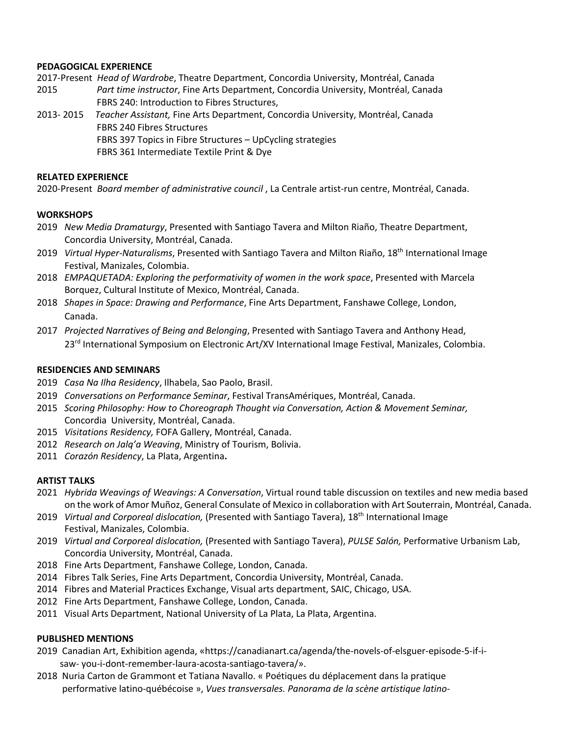### **PEDAGOGICAL EXPERIENCE**

2017-Present *Head of Wardrobe*, Theatre Department, Concordia University, Montréal, Canada

- 2015 *Part time instructor*, Fine Arts Department, Concordia University, Montréal, Canada FBRS 240: Introduction to Fibres Structures,
- 2013- 2015 *Teacher Assistant,* Fine Arts Department, Concordia University, Montréal, Canada FBRS 240 Fibres Structures FBRS 397 Topics in Fibre Structures – UpCycling strategies FBRS 361 Intermediate Textile Print & Dye

#### **RELATED EXPERIENCE**

2020-Present *Board member of administrative council* , La Centrale artist-run centre, Montréal, Canada.

#### **WORKSHOPS**

- 2019 *New Media Dramaturgy*, Presented with Santiago Tavera and Milton Riaño, Theatre Department, Concordia University, Montréal, Canada.
- 2019 *Virtual Hyper-Naturalisms*, Presented with Santiago Tavera and Milton Riaño, 18th International Image Festival, Manizales, Colombia.
- 2018 *EMPAQUETADA: Exploring the performativity of women in the work space*, Presented with Marcela Borquez, Cultural Institute of Mexico, Montréal, Canada.
- 2018 *Shapes in Space: Drawing and Performance*, Fine Arts Department, Fanshawe College, London, Canada.
- 2017 *Projected Narratives of Being and Belonging*, Presented with Santiago Tavera and Anthony Head, 23<sup>rd</sup> International Symposium on Electronic Art/XV International Image Festival, Manizales, Colombia.

#### **RESIDENCIES AND SEMINARS**

- 2019 *Casa Na Ilha Residency*, Ilhabela, Sao Paolo, Brasil.
- 2019 *Conversations on Performance Seminar*, Festival TransAmériques, Montréal, Canada.
- 2015 *Scoring Philosophy: How to Choreograph Thought via Conversation, Action & Movement Seminar,* Concordia University, Montréal, Canada.
- 2015 *Visitations Residency,* FOFA Gallery, Montréal, Canada.
- 2012 *Research on Jalq'a Weaving*, Ministry of Tourism, Bolivia.
- 2011 *Corazón Residency*, La Plata, Argentina**.**

#### **ARTIST TALKS**

- 2021 *Hybrida Weavings of Weavings: A Conversation*, Virtual round table discussion on textiles and new media based on the work of Amor Muñoz, General Consulate of Mexico in collaboration with Art Souterrain, Montréal, Canada.
- 2019 *Virtual and Corporeal dislocation,* (Presented with Santiago Tavera), 18th International Image Festival, Manizales, Colombia.
- 2019 *Virtual and Corporeal dislocation,* (Presented with Santiago Tavera), *PULSE Salón,* Performative Urbanism Lab, Concordia University, Montréal, Canada.
- 2018 Fine Arts Department, Fanshawe College, London, Canada.
- 2014 Fibres Talk Series, Fine Arts Department, Concordia University, Montréal, Canada.
- 2014 Fibres and Material Practices Exchange, Visual arts department, SAIC, Chicago, USA.
- 2012 Fine Arts Department, Fanshawe College, London, Canada.
- 2011 Visual Arts Department, National University of La Plata, La Plata, Argentina.

## **PUBLISHED MENTIONS**

- 2019 Canadian Art, Exhibition agenda, «https://canadianart.ca/agenda/the-novels-of-elsguer-episode-5-if-i saw- you-i-dont-remember-laura-acosta-santiago-tavera/».
- 2018 Nuria Carton de Grammont et Tatiana Navallo. « Poétiques du déplacement dans la pratique performative latino-québécoise », *Vues transversales. Panorama de la scène artistique latino-*